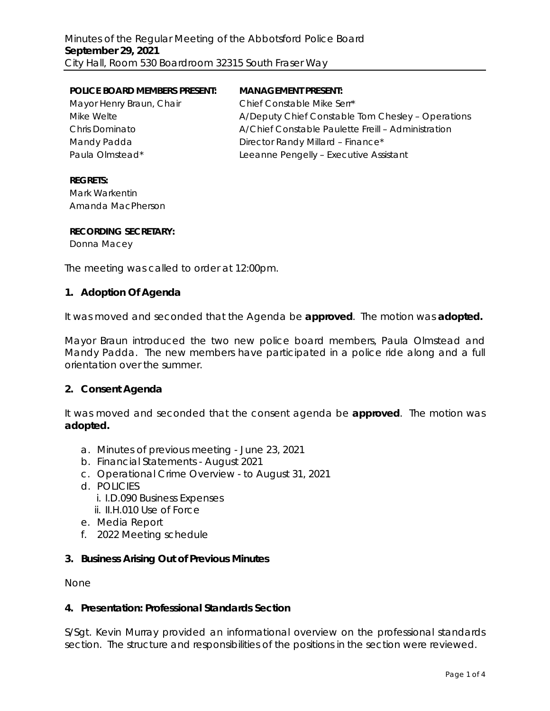| <b>POLICE BOARD MEMBERS PRESENT:</b> | <b>MANAGEMENT PRESENT:</b>                         |
|--------------------------------------|----------------------------------------------------|
| Mayor Henry Braun, Chair             | Chief Constable Mike Serr*                         |
| Mike Welte                           | A/Deputy Chief Constable Tom Chesley - Operations  |
| <b>Chris Dominato</b>                | A/Chief Constable Paulette Freill - Administration |
| Mandy Padda                          | Director Randy Millard - Finance*                  |
| Paula Olmstead*                      | Leeanne Pengelly - Executive Assistant             |

#### **REGRETS:**

Mark Warkentin Amanda MacPherson

#### **RECORDING SECRETARY:**

Donna Macey

The meeting was called to order at 12:00pm.

### **1. Adoption Of Agenda**

It was moved and seconded that the Agenda be **approved**.The motion was **adopted.**

Mayor Braun introduced the two new police board members, Paula Olmstead and Mandy Padda. The new members have participated in a police ride along and a full orientation over the summer.

#### **2. Consent Agenda**

It was moved and seconded that the consent agenda be **approved**.The motion was **adopted.**

- a. Minutes of previous meeting June 23, 2021
- b. Financial Statements August 2021
- c. Operational Crime Overview to August 31, 2021
- d. POLICIES
	- i. I.D.090 Business Expenses
	- ii. II.H.010 Use of Force
- e. Media Report
- f. 2022 Meeting schedule

## **3. Business Arising Out of Previous Minutes**

None

### **4. Presentation: Professional Standards Section**

S/Sgt. Kevin Murray provided an informational overview on the professional standards section. The structure and responsibilities of the positions in the section were reviewed.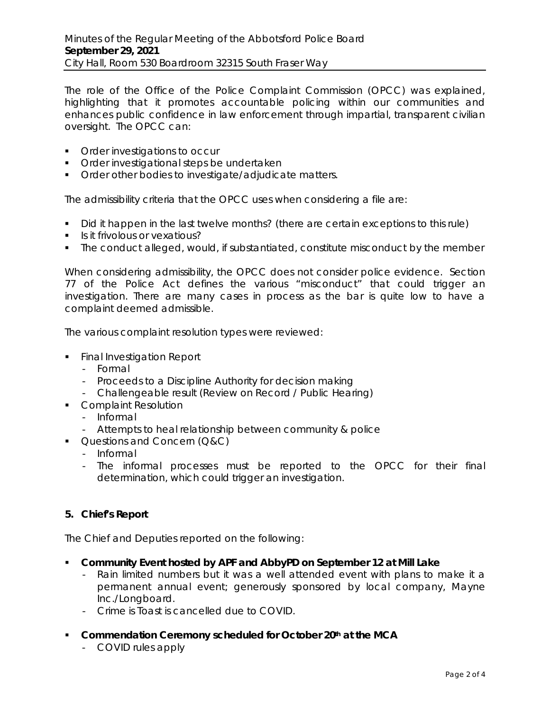The role of the Office of the Police Complaint Commission (OPCC) was explained, highlighting that it promotes accountable policing within our communities and enhances public confidence in law enforcement through impartial, transparent civilian oversight. The OPCC can:

- **•** Order investigations to occur
- **•** Order investigational steps be undertaken
- **Order other bodies to investigate/adjudicate matters.**

The admissibility criteria that the OPCC uses when considering a file are:

- Did it happen in the last twelve months? (there are certain exceptions to this rule)
- Is it frivolous or vexatious?
- The conduct alleged, would, if substantiated, constitute misconduct by the member

When considering admissibility, the OPCC does not consider police evidence. Section 77 of the *Police Act* defines the various "misconduct" that could trigger an investigation. There are many cases in process as the bar is quite low to have a complaint deemed admissible.

The various complaint resolution types were reviewed:

- **Final Investigation Report** 
	- Formal
	- Proceeds to a Discipline Authority for decision making
	- Challengeable result (Review on Record / Public Hearing)
- **Complaint Resolution** 
	- Informal
	- Attempts to heal relationship between community & police
- **Questions and Concern (Q&C)** 
	- Informal
	- The informal processes must be reported to the OPCC for their final determination, which could trigger an investigation.

## **5. Chief's Report**

The Chief and Deputies reported on the following:

- **Community Event hosted by APF and AbbyPD on September 12 at Mill Lake**
	- Rain limited numbers but it was a well attended event with plans to make it a permanent annual event; generously sponsored by local company, Mayne Inc./Longboard.
	- Crime is Toast is cancelled due to COVID.
- **Commendation Ceremony scheduled for October 20th at the MCA**
	- COVID rules apply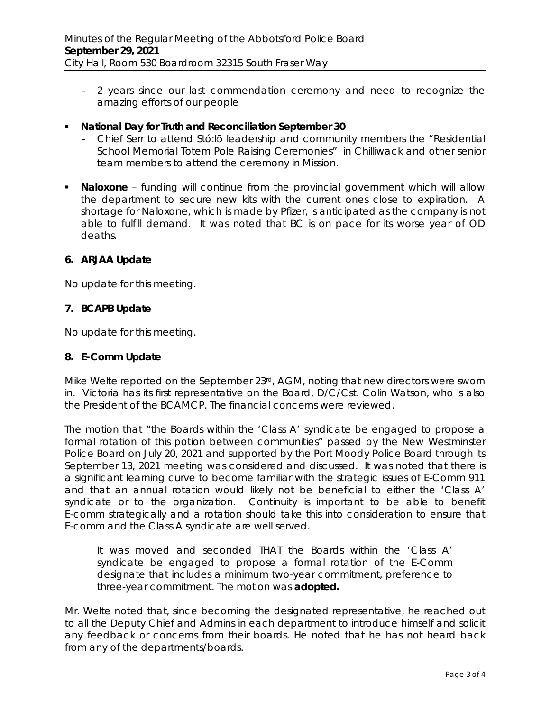- 2 years since our last commendation ceremony and need to recognize the amazing efforts of our people
- **National Day for Truth and Reconciliation September 30**
	- Chief Serr to attend Stó:lō leadership and community members the "Residential School Memorial Totem Pole Raising Ceremonies" in Chilliwack and other senior team members to attend the ceremony in Mission.
- **Naloxone** funding will continue from the provincial government which will allow the department to secure new kits with the current ones close to expiration. A shortage for Naloxone, which is made by Pfizer, is anticipated as the company is not able to fulfill demand. It was noted that BC is on pace for its worse year of OD deaths.

### **6. ARJAA Update**

No update for this meeting.

### **7. BCAPB Update**

No update for this meeting.

#### **8. E-Comm Update**

Mike Welte reported on the September  $23<sup>rd</sup>$ , AGM, noting that new directors were sworn in. Victoria has its first representative on the Board, D/C/Cst. Colin Watson, who is also the President of the BCAMCP. The financial concerns were reviewed.

The motion that "the Boards within the 'Class A' syndicate be engaged to propose a formal rotation of this potion between communities" passed by the New Westminster Police Board on July 20, 2021 and supported by the Port Moody Police Board through its September 13, 2021 meeting was considered and discussed. It was noted that there is a significant learning curve to become familiar with the strategic issues of E-Comm 911 and that an annual rotation would likely not be beneficial to either the 'Class A' syndicate or to the organization. Continuity is important to be able to benefit E-comm strategically and a rotation should take this into consideration to ensure that E-comm and the Class A syndicate are well served.

It was moved and seconded THAT the Boards within the 'Class A' syndicate be engaged to propose a formal rotation of the E-Comm designate that includes a minimum two-year commitment, preference to three-year commitment. The motion was **adopted.**

Mr. Welte noted that, since becoming the designated representative, he reached out to all the Deputy Chief and Admins in each department to introduce himself and solicit any feedback or concerns from their boards. He noted that he has not heard back from any of the departments/boards.